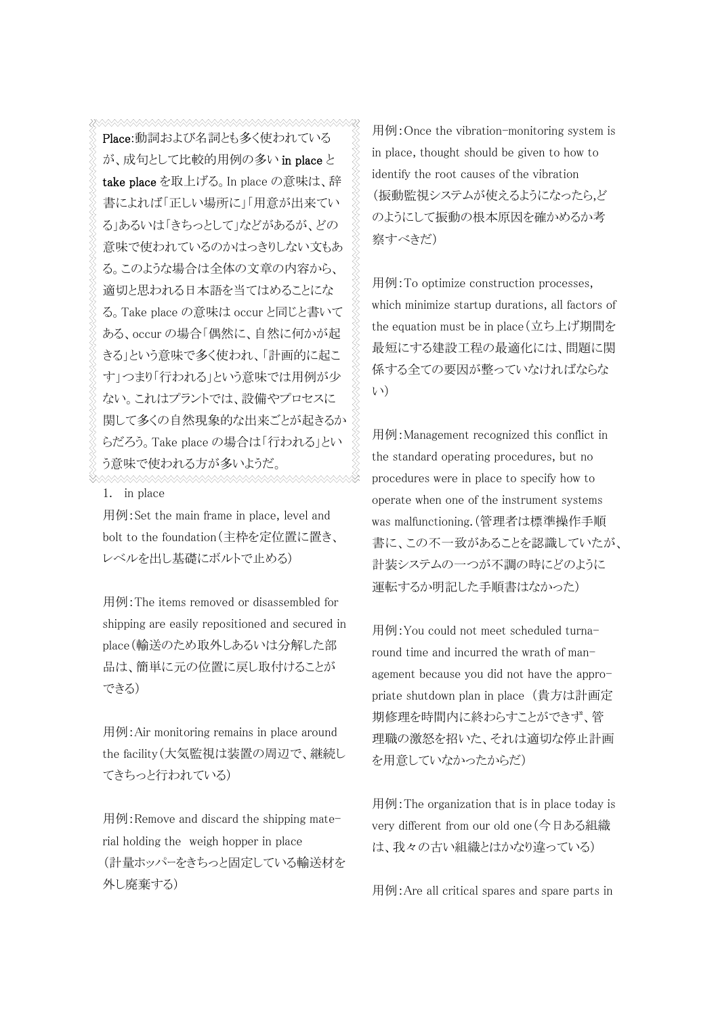Place:動詞および名詞とも多く使われている が、成句として比較的用例の多い in place と take place を取上げる。In place の意味は、辞 書によれば「正しい場所に」「用意が出来てい る」あるいは「きちっとして」などがあるが、どの 意味で使われているのかはっきりしない文もあ る。このような場合は全体の文章の内容から、 適切と思われる日本語を当てはめることにな る。Take place の意味は occur と同じと書いて ある、occur の場合「偶然に、自然に何かが起 きる」という意味で多く使われ、「計画的に起こ す」つまり「行われる」という意味では用例が少 ない。これはプラントでは、設備やプロセスに 関して多くの自然現象的な出来ごとが起きるか らだろう。Take place の場合は「行われる」とい う意味で使われる方が多いようだ。

1. in place

用例:Set the main frame in place, level and bolt to the foundation(主枠を定位置に置き、 レベルを出し基礎にボルトで止める)

用例:The items removed or disassembled for shipping are easily repositioned and secured in place(輸送のため取外しあるいは分解した部 品は、簡単に元の位置に戻し取付けることが できる)

用例:Air monitoring remains in place around the facility(大気監視は装置の周辺で、継続し てきちっと行われている)

用例:Remove and discard the shipping material holding the weigh hopper in place (計量ホッパーをきちっと固定している輸送材を 外し廃棄する)

用例:Once the vibration-monitoring system is in place, thought should be given to how to identify the root causes of the vibration (振動監視システムが使えるようになったら,ど のようにして振動の根本原因を確かめるか考 察すべきだ)

用例:To optimize construction processes, which minimize startup durations, all factors of the equation must be in place(立ち上げ期間を 最短にする建設工程の最適化には、問題に関 係する全ての要因が整っていなければならな い)

用例:Management recognized this conflict in the standard operating procedures, but no procedures were in place to specify how to operate when one of the instrument systems was malfunctioning.(管理者は標準操作手順 書に、この不一致があることを認識していたが、 計装システムの一つが不調の時にどのように 運転するか明記した手順書はなかった)

用例:You could not meet scheduled turnaround time and incurred the wrath of management because you did not have the appropriate shutdown plan in place (貴方は計画定 期修理を時間内に終わらすことができず、管 理職の激怒を招いた、それは適切な停止計画 を用意していなかったからだ)

用例:The organization that is in place today is very different from our old one(今日ある組織 は、我々の古い組織とはかなり違っている)

用例:Are all critical spares and spare parts in